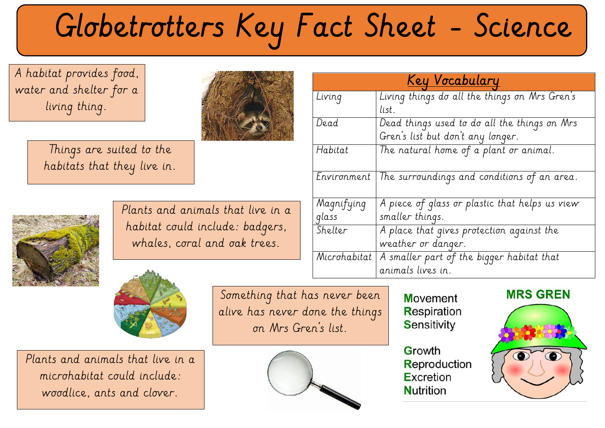# Globetrotters Key Fact Sheet - Science

 water and shelter for a A habitat provides food, living thing.

> Things are suited to the habitats that they live in.



Plants and animals that live in a habitat could include: badgers, whales, coral and oak trees.



Plants and animals that live in a microhabitat could include: woodlice, ants and clover.

Something that has never been alive has never done the things on Mrs Gren's list.



**Movement Respiration** Sensitivity

Growth Reproduction Excretion **Nutrition** 





| <u>Key Vocabulary</u> |                                                |  |
|-----------------------|------------------------------------------------|--|
| Living                | Living things do all the things on Mrs Gren's  |  |
|                       | list.                                          |  |
| Dead                  | Dead things used to do all the things on Mrs   |  |
|                       | Gren's list but don't any longer.              |  |
| Habitat               | The natural home of a plant or animal.         |  |
|                       |                                                |  |
| Environment           | The surroundings and conditions of an area.    |  |
|                       |                                                |  |
| Magnifying            | A piece of glass or plastic that helps us view |  |
| glass                 | smaller things.                                |  |
| Shelter               | A place that gives protection against the      |  |
|                       | weather or danger.                             |  |
| Microhabitat          | A smaller part of the bigger habitat that      |  |
|                       | animals lives in.                              |  |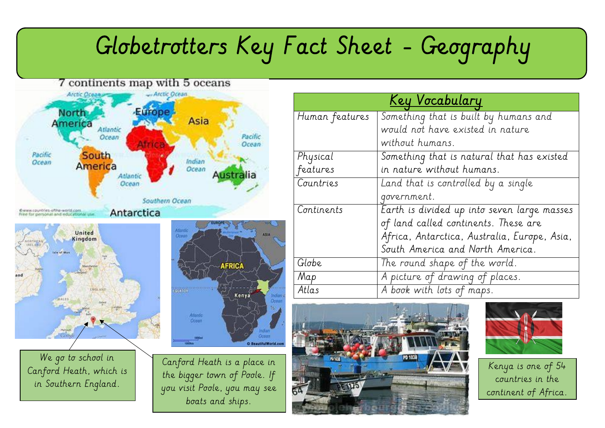### Globetrotters Key Fact Sheet - Geography

#### 7 continents map with 5 oceans



![](_page_1_Figure_3.jpeg)

We go to school in Canford Heath, which is in Southern England.

![](_page_1_Figure_5.jpeg)

Canford Heath is a place in the bigger town of Poole. If you visit Poole, you may see boats and ships.

| <u>Key Vocabulary</u> |                                              |  |
|-----------------------|----------------------------------------------|--|
| Human features        | Something that is built by humans and        |  |
|                       | would not have existed in nature             |  |
|                       | without humans.                              |  |
| Physical              | Something that is natural that has existed   |  |
| features              | in nature without humans.                    |  |
| Countries             | Land that is controlled by a single          |  |
|                       | government.                                  |  |
| Continents            | Earth is divided up into seven large masses  |  |
|                       | of land called continents. These are         |  |
|                       | Africa, Antarctica, Australia, Europe, Asia, |  |
|                       | South America and North America.             |  |
| Globe                 | The round shape of the world.                |  |
| Map                   | A picture of drawing of places.              |  |
| Atlas                 | A book with lots of maps.                    |  |

![](_page_1_Picture_8.jpeg)

![](_page_1_Picture_9.jpeg)

Kenya is one of 54 countries in the continent of Africa.